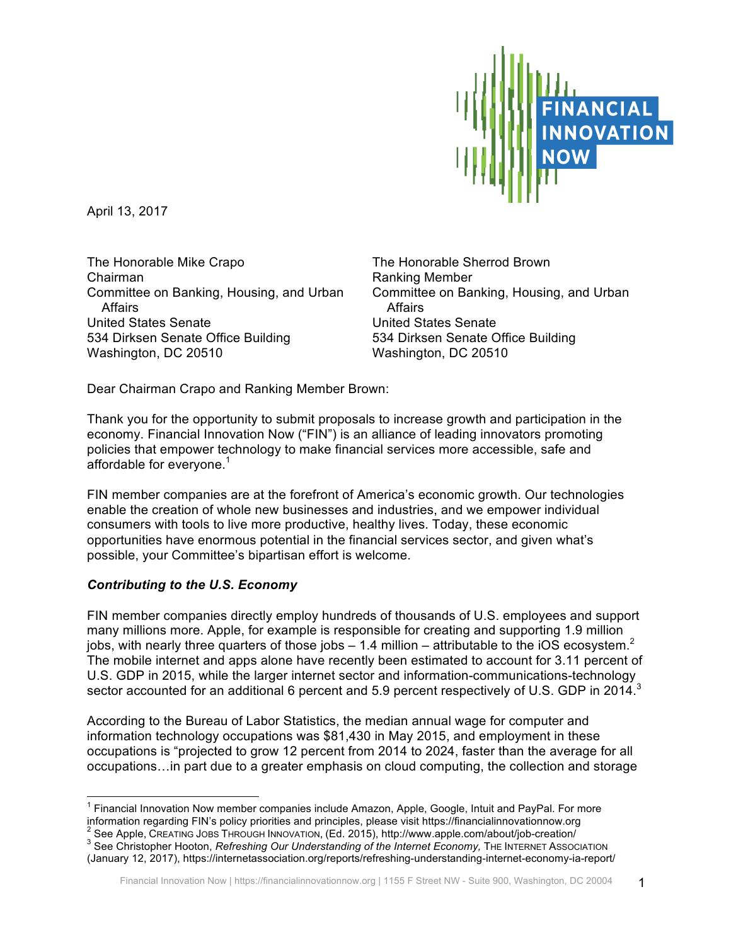

April 13, 2017

The Honorable Mike Crapo Chairman Committee on Banking, Housing, and Urban **Affairs** United States Senate 534 Dirksen Senate Office Building Washington, DC 20510

The Honorable Sherrod Brown Ranking Member Committee on Banking, Housing, and Urban **Affairs** United States Senate 534 Dirksen Senate Office Building Washington, DC 20510

Dear Chairman Crapo and Ranking Member Brown:

Thank you for the opportunity to submit proposals to increase growth and participation in the economy. Financial Innovation Now ("FIN") is an alliance of leading innovators promoting policies that empower technology to make financial services more accessible, safe and affordable for everyone.<sup>1</sup>

FIN member companies are at the forefront of America's economic growth. Our technologies enable the creation of whole new businesses and industries, and we empower individual consumers with tools to live more productive, healthy lives. Today, these economic opportunities have enormous potential in the financial services sector, and given what's possible, your Committee's bipartisan effort is welcome.

# *Contributing to the U.S. Economy*

FIN member companies directly employ hundreds of thousands of U.S. employees and support many millions more. Apple, for example is responsible for creating and supporting 1.9 million jobs, with nearly three quarters of those jobs  $-1.4$  million – attributable to the iOS ecosystem.<sup>2</sup> The mobile internet and apps alone have recently been estimated to account for 3.11 percent of U.S. GDP in 2015, while the larger internet sector and information-communications-technology sector accounted for an additional 6 percent and 5.9 percent respectively of U.S. GDP in 2014.<sup>3</sup>

According to the Bureau of Labor Statistics, the median annual wage for computer and information technology occupations was \$81,430 in May 2015, and employment in these occupations is "projected to grow 12 percent from 2014 to 2024, faster than the average for all occupations…in part due to a greater emphasis on cloud computing, the collection and storage

(January 12, 2017), https://internetassociation.org/reports/refreshing-understanding-internet-economy-ia-report/

<sup>&</sup>lt;sup>1</sup> Financial Innovation Now member companies include Amazon, Apple, Google, Intuit and PayPal. For more information regarding FIN's policy priorities and principles, please visit https://financialinnovationnow.org

 $^2$  See Apple, CREATING JOBS THROUGH INNOVATION, (Ed. 2015), http://www.apple.com/about/job-creation/<br> $^3$  See Christopher Hooton, *Refreshing Our Understanding of the Internet Economy,* The INTERNET Association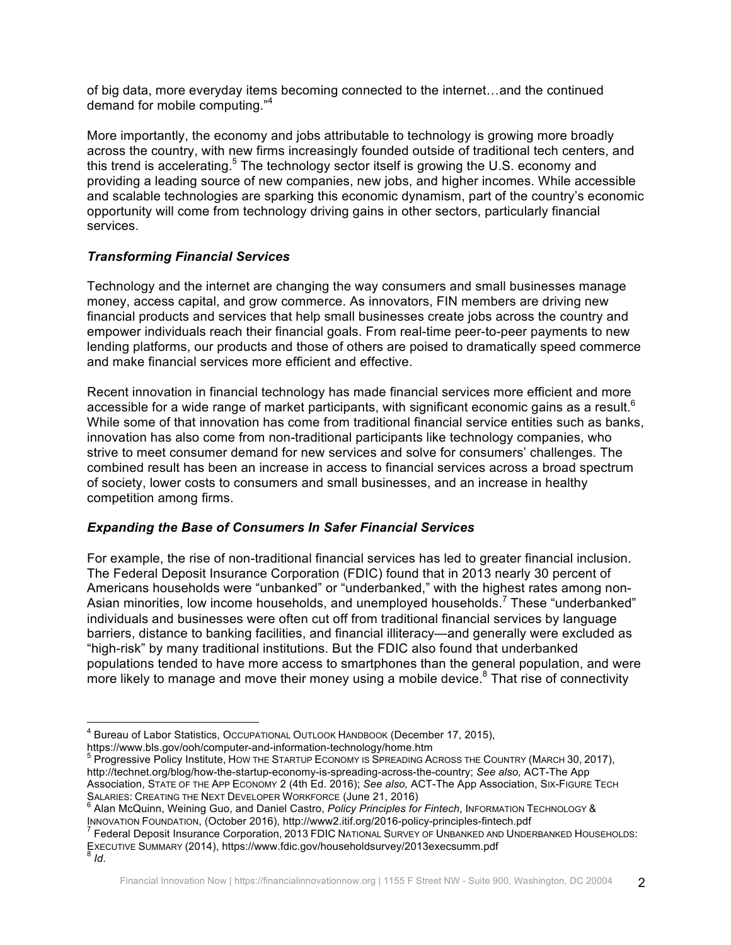of big data, more everyday items becoming connected to the internet…and the continued demand for mobile computing."<sup>4</sup>

More importantly, the economy and jobs attributable to technology is growing more broadly across the country, with new firms increasingly founded outside of traditional tech centers, and this trend is accelerating.<sup>5</sup> The technology sector itself is growing the U.S. economy and providing a leading source of new companies, new jobs, and higher incomes. While accessible and scalable technologies are sparking this economic dynamism, part of the country's economic opportunity will come from technology driving gains in other sectors, particularly financial services.

### *Transforming Financial Services*

Technology and the internet are changing the way consumers and small businesses manage money, access capital, and grow commerce. As innovators, FIN members are driving new financial products and services that help small businesses create jobs across the country and empower individuals reach their financial goals. From real-time peer-to-peer payments to new lending platforms, our products and those of others are poised to dramatically speed commerce and make financial services more efficient and effective.

Recent innovation in financial technology has made financial services more efficient and more accessible for a wide range of market participants, with significant economic gains as a result.<sup>6</sup> While some of that innovation has come from traditional financial service entities such as banks, innovation has also come from non-traditional participants like technology companies, who strive to meet consumer demand for new services and solve for consumers' challenges. The combined result has been an increase in access to financial services across a broad spectrum of society, lower costs to consumers and small businesses, and an increase in healthy competition among firms.

#### *Expanding the Base of Consumers In Safer Financial Services*

For example, the rise of non-traditional financial services has led to greater financial inclusion. The Federal Deposit Insurance Corporation (FDIC) found that in 2013 nearly 30 percent of Americans households were "unbanked" or "underbanked," with the highest rates among non-Asian minorities, low income households, and unemployed households.<sup>7</sup> These "underbanked" individuals and businesses were often cut off from traditional financial services by language barriers, distance to banking facilities, and financial illiteracy—and generally were excluded as "high-risk" by many traditional institutions. But the FDIC also found that underbanked populations tended to have more access to smartphones than the general population, and were more likely to manage and move their money using a mobile device.<sup>8</sup> That rise of connectivity

<sup>&</sup>lt;sup>4</sup> Bureau of Labor Statistics, Occupational Outlook Handbook (December 17, 2015), https://www.bls.gov/ooh/computer-and-information-technology/home.htm

 $5$  Progressive Policy Institute, HOW THE STARTUP ECONOMY IS SPREADING ACROSS THE COUNTRY (MARCH 30, 2017), http://technet.org/blog/how-the-startup-economy-is-spreading-across-the-country; *See also,* ACT-The App Association, STATE OF THE APP ECONOMY 2 (4th Ed. 2016); *See also,* ACT-The App Association, SIX-FIGURE TECH

SALARIES: CREATING THE NEXT DEVELOPER WORKFORCE (June 21, 2016)<br><sup>6</sup> Alan McQuinn, Weining Guo, and Daniel Castro, *Policy Principles for Fintech*, INFORMATION TECHNOLOGY &<br>INNOVATION FOUNDATION, (October 2016), http://www2

 $^7$  Federal Deposit Insurance Corporation, 2013 FDIC NATIONAL SURVEY OF UNBANKED AND UNDERBANKED HOUSEHOLDS: EXECUTIVE SUMMARY (2014), https://www.fdic.gov/householdsurvey/2013execsumm.pdf <sup>8</sup> *Id*.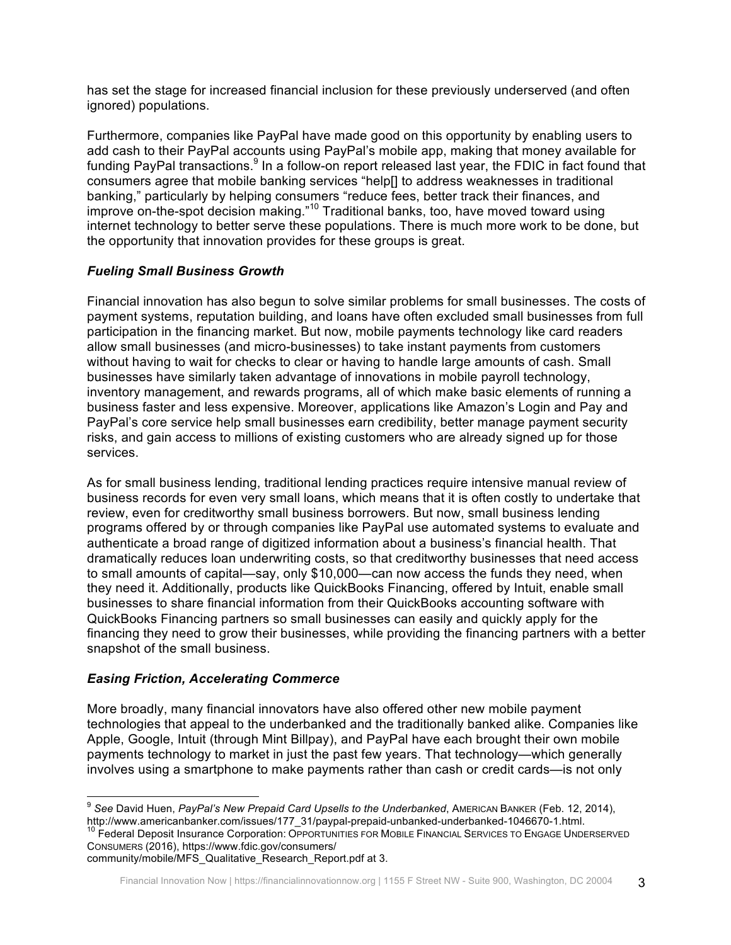has set the stage for increased financial inclusion for these previously underserved (and often ignored) populations.

Furthermore, companies like PayPal have made good on this opportunity by enabling users to add cash to their PayPal accounts using PayPal's mobile app, making that money available for funding PayPal transactions.<sup>9</sup> In a follow-on report released last year, the FDIC in fact found that consumers agree that mobile banking services "help[] to address weaknesses in traditional banking," particularly by helping consumers "reduce fees, better track their finances, and improve on-the-spot decision making."<sup>10</sup> Traditional banks, too, have moved toward using internet technology to better serve these populations. There is much more work to be done, but the opportunity that innovation provides for these groups is great.

# *Fueling Small Business Growth*

Financial innovation has also begun to solve similar problems for small businesses. The costs of payment systems, reputation building, and loans have often excluded small businesses from full participation in the financing market. But now, mobile payments technology like card readers allow small businesses (and micro-businesses) to take instant payments from customers without having to wait for checks to clear or having to handle large amounts of cash. Small businesses have similarly taken advantage of innovations in mobile payroll technology, inventory management, and rewards programs, all of which make basic elements of running a business faster and less expensive. Moreover, applications like Amazon's Login and Pay and PayPal's core service help small businesses earn credibility, better manage payment security risks, and gain access to millions of existing customers who are already signed up for those services.

As for small business lending, traditional lending practices require intensive manual review of business records for even very small loans, which means that it is often costly to undertake that review, even for creditworthy small business borrowers. But now, small business lending programs offered by or through companies like PayPal use automated systems to evaluate and authenticate a broad range of digitized information about a business's financial health. That dramatically reduces loan underwriting costs, so that creditworthy businesses that need access to small amounts of capital—say, only \$10,000—can now access the funds they need, when they need it. Additionally, products like QuickBooks Financing, offered by Intuit, enable small businesses to share financial information from their QuickBooks accounting software with QuickBooks Financing partners so small businesses can easily and quickly apply for the financing they need to grow their businesses, while providing the financing partners with a better snapshot of the small business.

# *Easing Friction, Accelerating Commerce*

More broadly, many financial innovators have also offered other new mobile payment technologies that appeal to the underbanked and the traditionally banked alike. Companies like Apple, Google, Intuit (through Mint Billpay), and PayPal have each brought their own mobile payments technology to market in just the past few years. That technology—which generally involves using a smartphone to make payments rather than cash or credit cards—is not only

<sup>10</sup> Federal Deposit Insurance Corporation: OPPORTUNITIES FOR MOBILE FINANCIAL SERVICES TO ENGAGE UNDERSERVED CONSUMERS (2016), https://www.fdic.gov/consumers/

community/mobile/MFS\_Qualitative\_Research\_Report.pdf at 3.

<sup>&</sup>lt;sup>9</sup> See David Huen, *PayPal's New Prepaid Card Upsells to the Underbanked*, AMERICAN BANKER (Feb. 12, 2014), http://www.americanbanker.com/issues/177\_31/paypal-prepaid-unbanked-underbanked-1046670-1.html.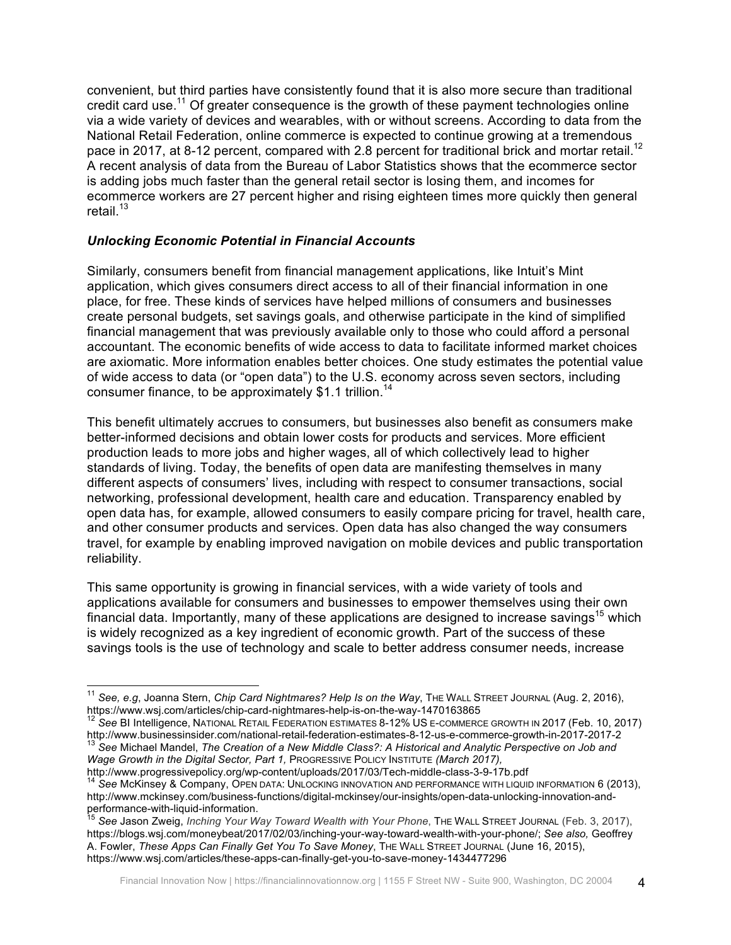convenient, but third parties have consistently found that it is also more secure than traditional credit card use.<sup>11</sup> Of greater consequence is the growth of these payment technologies online via a wide variety of devices and wearables, with or without screens. According to data from the National Retail Federation, online commerce is expected to continue growing at a tremendous pace in 2017, at 8-12 percent, compared with 2.8 percent for traditional brick and mortar retail.<sup>12</sup> A recent analysis of data from the Bureau of Labor Statistics shows that the ecommerce sector is adding jobs much faster than the general retail sector is losing them, and incomes for ecommerce workers are 27 percent higher and rising eighteen times more quickly then general retail. $13$ 

#### *Unlocking Economic Potential in Financial Accounts*

Similarly, consumers benefit from financial management applications, like Intuit's Mint application, which gives consumers direct access to all of their financial information in one place, for free. These kinds of services have helped millions of consumers and businesses create personal budgets, set savings goals, and otherwise participate in the kind of simplified financial management that was previously available only to those who could afford a personal accountant. The economic benefits of wide access to data to facilitate informed market choices are axiomatic. More information enables better choices. One study estimates the potential value of wide access to data (or "open data") to the U.S. economy across seven sectors, including consumer finance, to be approximately \$1.1 trillion.<sup>14</sup>

This benefit ultimately accrues to consumers, but businesses also benefit as consumers make better-informed decisions and obtain lower costs for products and services. More efficient production leads to more jobs and higher wages, all of which collectively lead to higher standards of living. Today, the benefits of open data are manifesting themselves in many different aspects of consumers' lives, including with respect to consumer transactions, social networking, professional development, health care and education. Transparency enabled by open data has, for example, allowed consumers to easily compare pricing for travel, health care, and other consumer products and services. Open data has also changed the way consumers travel, for example by enabling improved navigation on mobile devices and public transportation reliability.

This same opportunity is growing in financial services, with a wide variety of tools and applications available for consumers and businesses to empower themselves using their own financial data. Importantly, many of these applications are designed to increase savings<sup>15</sup> which is widely recognized as a key ingredient of economic growth. Part of the success of these savings tools is the use of technology and scale to better address consumer needs, increase

<sup>&</sup>lt;sup>11</sup> See, e.g, Joanna Stern, *Chip Card Nightmares? Help Is on the Way*, The WALL STREET JOURNAL (Aug. 2, 2016), https://www.wsj.com/articles/chip-card-nightmares-help-is-on-the-way-1470163865

<sup>&</sup>lt;sup>12</sup> See BI Intelligence, NATIONAL RETAIL FEDERATION ESTIMATES 8-12% US E-COMMERCE GROWTH IN 2017 (Feb. 10, 2017) http://www.businessinsider.com/national-retail-federation-estimates-8-12-us-e-commerce-growth-in-2017-2017-2<br><sup>13</sup> See Michael Mandel, *The Creation of a New Middle Class?: A Historical and Analytic Perspective on Job and Wage Growth in the Digital Sector, Part 1,* PROGRESSIVE POLICY INSTITUTE *(March 2017),* 

http://www.progressivepolicy.org/wp-content/uploads/2017/03/Tech-middle-class-3-9-17b.pdf<br><sup>14</sup> See McKinsey & Company, OPEN DATA: UNLOCKING INNOVATION AND PERFORMANCE WITH LIQUID INFORMATION 6 (2013), http://www.mckinsey.com/business-functions/digital-mckinsey/our-insights/open-data-unlocking-innovation-and-

See Jason Zweig, *Inching Your Way Toward Wealth with Your Phone*, THE WALL STREET JOURNAL (Feb. 3, 2017), https://blogs.wsj.com/moneybeat/2017/02/03/inching-your-way-toward-wealth-with-your-phone/; *See also,* Geoffrey A. Fowler, *These Apps Can Finally Get You To Save Money*, THE WALL STREET JOURNAL (June 16, 2015), https://www.wsj.com/articles/these-apps-can-finally-get-you-to-save-money-1434477296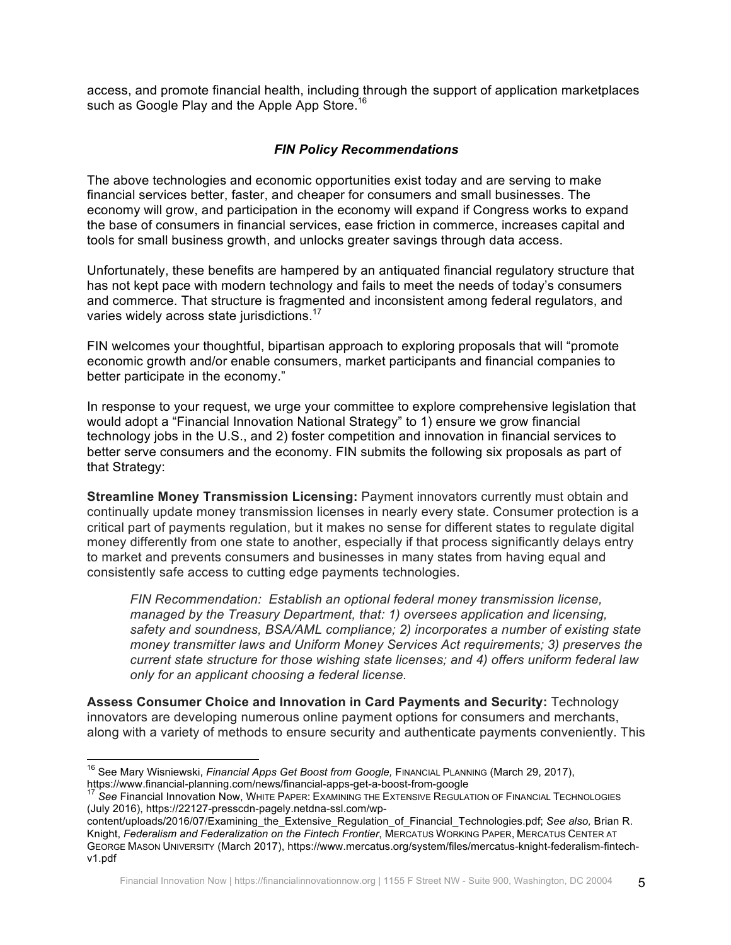access, and promote financial health, including through the support of application marketplaces such as Google Play and the Apple App Store.<sup>16</sup>

#### *FIN Policy Recommendations*

The above technologies and economic opportunities exist today and are serving to make financial services better, faster, and cheaper for consumers and small businesses. The economy will grow, and participation in the economy will expand if Congress works to expand the base of consumers in financial services, ease friction in commerce, increases capital and tools for small business growth, and unlocks greater savings through data access.

Unfortunately, these benefits are hampered by an antiquated financial regulatory structure that has not kept pace with modern technology and fails to meet the needs of today's consumers and commerce. That structure is fragmented and inconsistent among federal regulators, and varies widely across state jurisdictions.<sup>17</sup>

FIN welcomes your thoughtful, bipartisan approach to exploring proposals that will "promote economic growth and/or enable consumers, market participants and financial companies to better participate in the economy."

In response to your request, we urge your committee to explore comprehensive legislation that would adopt a "Financial Innovation National Strategy" to 1) ensure we grow financial technology jobs in the U.S., and 2) foster competition and innovation in financial services to better serve consumers and the economy. FIN submits the following six proposals as part of that Strategy:

**Streamline Money Transmission Licensing:** Payment innovators currently must obtain and continually update money transmission licenses in nearly every state. Consumer protection is a critical part of payments regulation, but it makes no sense for different states to regulate digital money differently from one state to another, especially if that process significantly delays entry to market and prevents consumers and businesses in many states from having equal and consistently safe access to cutting edge payments technologies.

*FIN Recommendation: Establish an optional federal money transmission license, managed by the Treasury Department, that: 1) oversees application and licensing, safety and soundness, BSA/AML compliance; 2) incorporates a number of existing state money transmitter laws and Uniform Money Services Act requirements; 3) preserves the current state structure for those wishing state licenses; and 4) offers uniform federal law only for an applicant choosing a federal license.* 

**Assess Consumer Choice and Innovation in Card Payments and Security:** Technology innovators are developing numerous online payment options for consumers and merchants, along with a variety of methods to ensure security and authenticate payments conveniently. This

content/uploads/2016/07/Examining\_the\_Extensive\_Regulation\_of\_Financial\_Technologies.pdf; *See also,* Brian R. Knight, *Federalism and Federalization on the Fintech Frontier*, MERCATUS WORKING PAPER, MERCATUS CENTER AT GEORGE MASON UNIVERSITY (March 2017), https://www.mercatus.org/system/files/mercatus-knight-federalism-fintechv1.pdf

<sup>&</sup>lt;sup>16</sup> See Mary Wisniewski, *Financial Apps Get Boost from Google, FINANCIAL PLANNING (March 29, 2017),* 

https://www.financial-planning.com/news/financial-apps-get-a-boost-from-google<br><sup>17</sup> See Financial Innovation Now, WHITE PAPER: EXAMINING THE EXTENSIVE REGULATION OF FINANCIAL TECHNOLOGIES (July 2016), https://22127-presscdn-pagely.netdna-ssl.com/wp-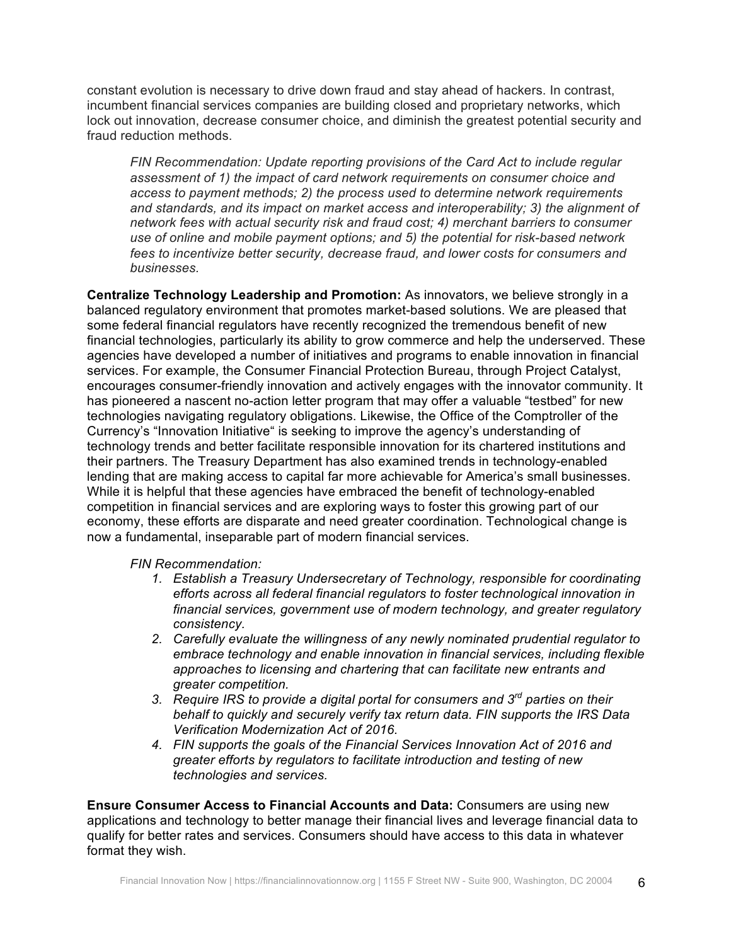constant evolution is necessary to drive down fraud and stay ahead of hackers. In contrast, incumbent financial services companies are building closed and proprietary networks, which lock out innovation, decrease consumer choice, and diminish the greatest potential security and fraud reduction methods.

*FIN Recommendation: Update reporting provisions of the Card Act to include regular assessment of 1) the impact of card network requirements on consumer choice and access to payment methods; 2) the process used to determine network requirements and standards, and its impact on market access and interoperability; 3) the alignment of network fees with actual security risk and fraud cost; 4) merchant barriers to consumer use of online and mobile payment options; and 5) the potential for risk-based network fees to incentivize better security, decrease fraud, and lower costs for consumers and businesses.*

**Centralize Technology Leadership and Promotion:** As innovators, we believe strongly in a balanced regulatory environment that promotes market-based solutions. We are pleased that some federal financial regulators have recently recognized the tremendous benefit of new financial technologies, particularly its ability to grow commerce and help the underserved. These agencies have developed a number of initiatives and programs to enable innovation in financial services. For example, the Consumer Financial Protection Bureau, through Project Catalyst, encourages consumer-friendly innovation and actively engages with the innovator community. It has pioneered a nascent no-action letter program that may offer a valuable "testbed" for new technologies navigating regulatory obligations. Likewise, the Office of the Comptroller of the Currency's "Innovation Initiative" is seeking to improve the agency's understanding of technology trends and better facilitate responsible innovation for its chartered institutions and their partners. The Treasury Department has also examined trends in technology-enabled lending that are making access to capital far more achievable for America's small businesses. While it is helpful that these agencies have embraced the benefit of technology-enabled competition in financial services and are exploring ways to foster this growing part of our economy, these efforts are disparate and need greater coordination. Technological change is now a fundamental, inseparable part of modern financial services.

*FIN Recommendation:* 

- *1. Establish a Treasury Undersecretary of Technology, responsible for coordinating efforts across all federal financial regulators to foster technological innovation in financial services, government use of modern technology, and greater regulatory consistency.*
- *2. Carefully evaluate the willingness of any newly nominated prudential regulator to embrace technology and enable innovation in financial services, including flexible approaches to licensing and chartering that can facilitate new entrants and greater competition.*
- *3. Require IRS to provide a digital portal for consumers and 3rd parties on their behalf to quickly and securely verify tax return data. FIN supports the IRS Data Verification Modernization Act of 2016.*
- *4. FIN supports the goals of the Financial Services Innovation Act of 2016 and greater efforts by regulators to facilitate introduction and testing of new technologies and services.*

**Ensure Consumer Access to Financial Accounts and Data:** Consumers are using new applications and technology to better manage their financial lives and leverage financial data to qualify for better rates and services. Consumers should have access to this data in whatever format they wish.